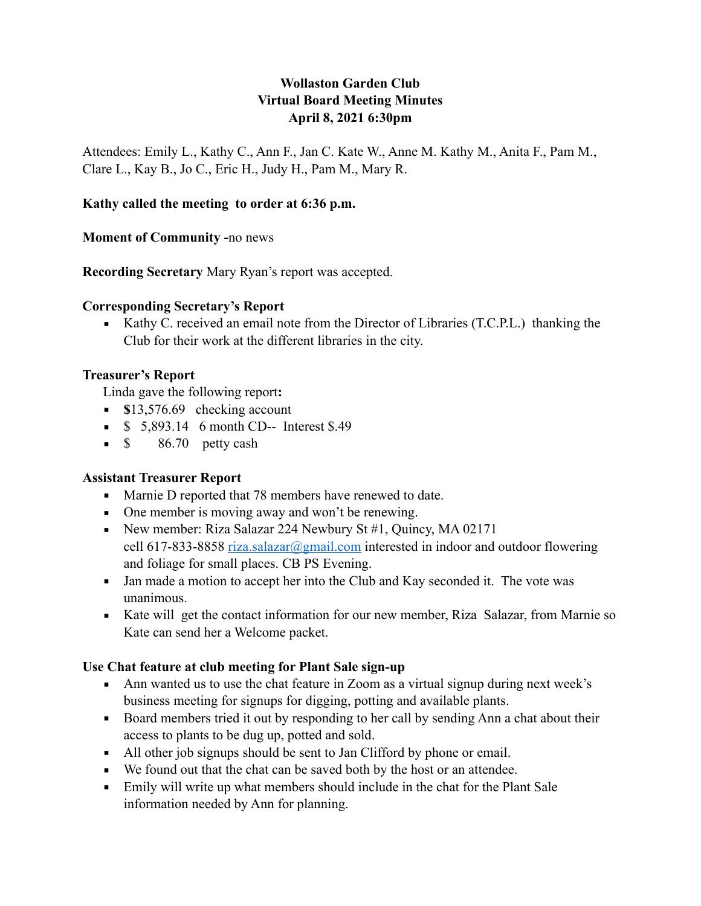## **Wollaston Garden Club Virtual Board Meeting Minutes April 8, 2021 6:30pm**

Attendees: Emily L., Kathy C., Ann F., Jan C. Kate W., Anne M. Kathy M., Anita F., Pam M., Clare L., Kay B., Jo C., Eric H., Judy H., Pam M., Mary R.

#### **Kathy called the meeting to order at 6:36 p.m.**

#### **Moment of Community -**no news

**Recording Secretary** Mary Ryan's report was accepted.

#### **Corresponding Secretary's Report**

■ Kathy C. received an email note from the Director of Libraries (T.C.P.L.) thanking the Club for their work at the different libraries in the city.

#### **Treasurer's Report**

Linda gave the following report**:** 

- **s** 13,576.69 checking account
- **•** \$ 5,893.14 6 month CD-- Interest \$.49
- $\bullet$  \$ 86.70 petty cash

### **Assistant Treasurer Report**

- Marnie D reported that 78 members have renewed to date.
- One member is moving away and won't be renewing.
- New member: Riza Salazar 224 Newbury St #1, Quincy, MA 02171 cell 617-833-8858 [riza.salazar@gmail.com](mailto:riza.salazar@gmail.com) interested in indoor and outdoor flowering and foliage for small places. CB PS Evening.
- Jan made a motion to accept her into the Club and Kay seconded it. The vote was unanimous.
- Kate will get the contact information for our new member, Riza Salazar, from Marnie so Kate can send her a Welcome packet.

### **Use Chat feature at club meeting for Plant Sale sign-up**

- Ann wanted us to use the chat feature in Zoom as a virtual signup during next week's business meeting for signups for digging, potting and available plants.
- Board members tried it out by responding to her call by sending Ann a chat about their access to plants to be dug up, potted and sold.
- All other job signups should be sent to Jan Clifford by phone or email.
- We found out that the chat can be saved both by the host or an attendee.
- Emily will write up what members should include in the chat for the Plant Sale information needed by Ann for planning.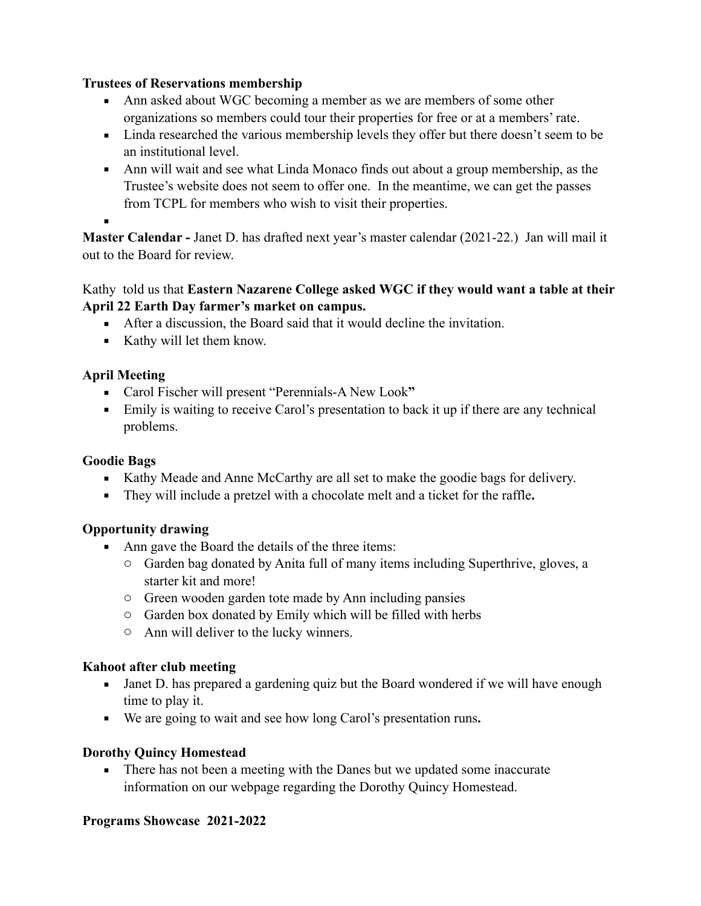#### **Trustees of Reservations membership**

- Ann asked about WGC becoming a member as we are members of some other organizations so members could tour their properties for free or at a members' rate.
- Linda researched the various membership levels they offer but there doesn't seem to be an institutional level.
- Ann will wait and see what Linda Monaco finds out about a group membership, as the Trustee's website does not seem to offer one. In the meantime, we can get the passes from TCPL for members who wish to visit their properties.
- ▪

**Master Calendar -** Janet D. has drafted next year's master calendar (2021-22.) Jan will mail it out to the Board for review.

#### Kathy told us that **Eastern Nazarene College asked WGC if they would want a table at their April 22 Earth Day farmer's market on campus.**

- After a discussion, the Board said that it would decline the invitation.
- Kathy will let them know.

## **April Meeting**

- Carol Fischer will present "Perennials-A New Look**"**
- Emily is waiting to receive Carol's presentation to back it up if there are any technical problems.

## **Goodie Bags**

- Kathy Meade and Anne McCarthy are all set to make the goodie bags for delivery.
- They will include a pretzel with a chocolate melt and a ticket for the raffle**.**

# **Opportunity drawing**

- Ann gave the Board the details of the three items:
	- o Garden bag donated by Anita full of many items including Superthrive, gloves, a starter kit and more!
	- o Green wooden garden tote made by Ann including pansies
	- o Garden box donated by Emily which will be filled with herbs
	- o Ann will deliver to the lucky winners.

### **Kahoot after club meeting**

- Janet D. has prepared a gardening quiz but the Board wondered if we will have enough time to play it.
- We are going to wait and see how long Carol's presentation runs**.**

### **Dorothy Quincy Homestead**

**•** There has not been a meeting with the Danes but we updated some inaccurate information on our webpage regarding the Dorothy Quincy Homestead.

### **Programs Showcase 2021-2022**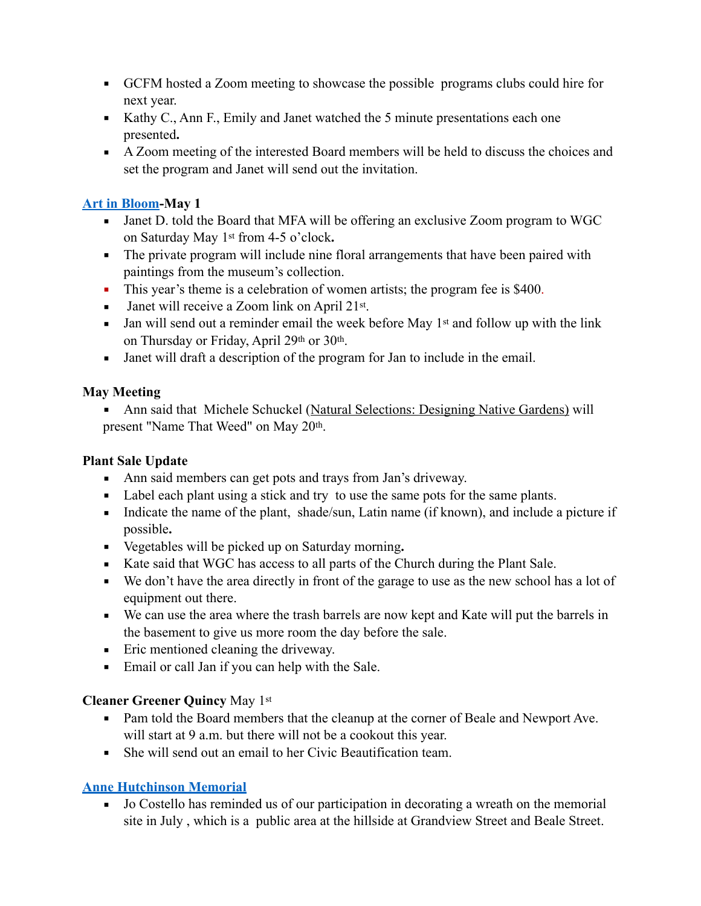- GCFM hosted a Zoom meeting to showcase the possible programs clubs could hire for next year.
- $\blacktriangleright$  Kathy C., Ann F., Emily and Janet watched the 5 minute presentations each one presented**.**
- A Zoom meeting of the interested Board members will be held to discuss the choices and set the program and Janet will send out the invitation.

### **[Art in Bloom](https://www.mfa.org/slideshow/art-in-bloom-through-the-years)-May 1**

- Janet D. told the Board that MFA will be offering an exclusive Zoom program to WGC on Saturday May 1st from 4-5 o'clock**.**
- **•** The private program will include nine floral arrangements that have been paired with paintings from the museum's collection.
- **•** This year's theme is a celebration of women artists; the program fee is \$400.
- Janet will receive a Zoom link on April 21<sup>st</sup>.
- **•** Jan will send out a reminder email the week before May  $1<sup>st</sup>$  and follow up with the link on Thursday or Friday, April 29th or 30th.
- Janet will draft a description of the program for Jan to include in the email.

## **May Meeting**

**• Ann said that Michele Schuckel [\(Natural Selections: Designing Native Gardens](http://www.naturalselectionsgardens.com/home.html)) will** present "Name That Weed" on May 20th.

## **Plant Sale Update**

- Ann said members can get pots and trays from Jan's driveway.
- Label each plant using a stick and try to use the same pots for the same plants.
- Indicate the name of the plant, shade/sun, Latin name (if known), and include a picture if possible**.**
- Vegetables will be picked up on Saturday morning**.**
- Kate said that WGC has access to all parts of the Church during the Plant Sale.
- We don't have the area directly in front of the garage to use as the new school has a lot of equipment out there.
- We can use the area where the trash barrels are now kept and Kate will put the barrels in the basement to give us more room the day before the sale.
- Eric mentioned cleaning the driveway.
- Email or call Jan if you can help with the Sale.

# **Cleaner Greener Quincy** May 1st

- Pam told the Board members that the cleanup at the corner of Beale and Newport Ave. will start at 9 a.m. but there will not be a cookout this year.
- She will send out an email to her Civic Beautification team.

# **[Anne Hutchinson Memorial](https://www.wollastongardenclub.com/programs/anne-hutchinson-memorial-in-july/)**

■ Jo Costello has reminded us of our participation in decorating a wreath on the memorial site in July , which is a public area at the hillside at Grandview Street and Beale Street.